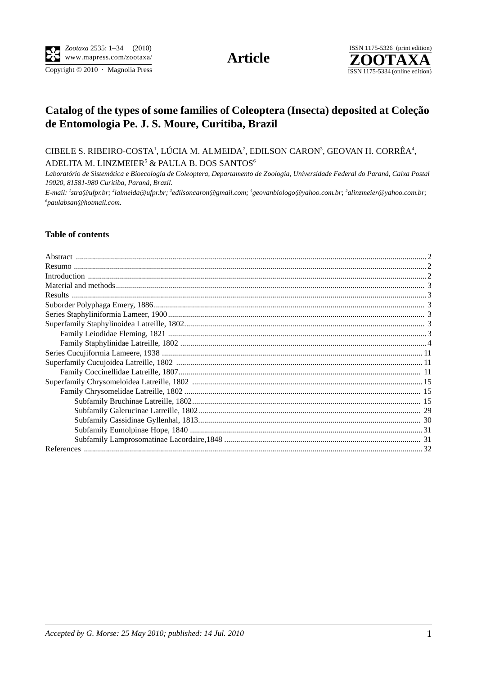Copyright © 2010 · Magnolia Press

**Article** 



# Catalog of the types of some families of Coleoptera (Insecta) deposited at Coleção de Entomologia Pe. J. S. Moure, Curitiba, Brazil

CIBELE S. RIBEIRO-COSTA<sup>1</sup>, LÚCIA M. ALMEIDA<sup>2</sup>, EDILSON CARON<sup>3</sup>, GEOVAN H. CORRÊA<sup>4</sup>, ADELITA M. LINZMEIER<sup>5</sup> & PAULA B. DOS SANTOS<sup>6</sup>

Laboratório de Sistemática e Bioecologia de Coleoptera, Departamento de Zoologia, Universidade Federal do Paraná, Caixa Postal 19020, 81581-980 Curitiba, Paraná, Brazil.

E-mail: <sup>1</sup>stra@ufpr.br; <sup>2</sup>lalmeida@ufpr.br; <sup>3</sup>edilsoncaron@gmail.com; <sup>4</sup>geovanbiologo@yahoo.com.br; <sup>5</sup>alinzmeier@yahoo.com.br;  $6$ paulabsan@hotmail.com.

## **Table of contents**